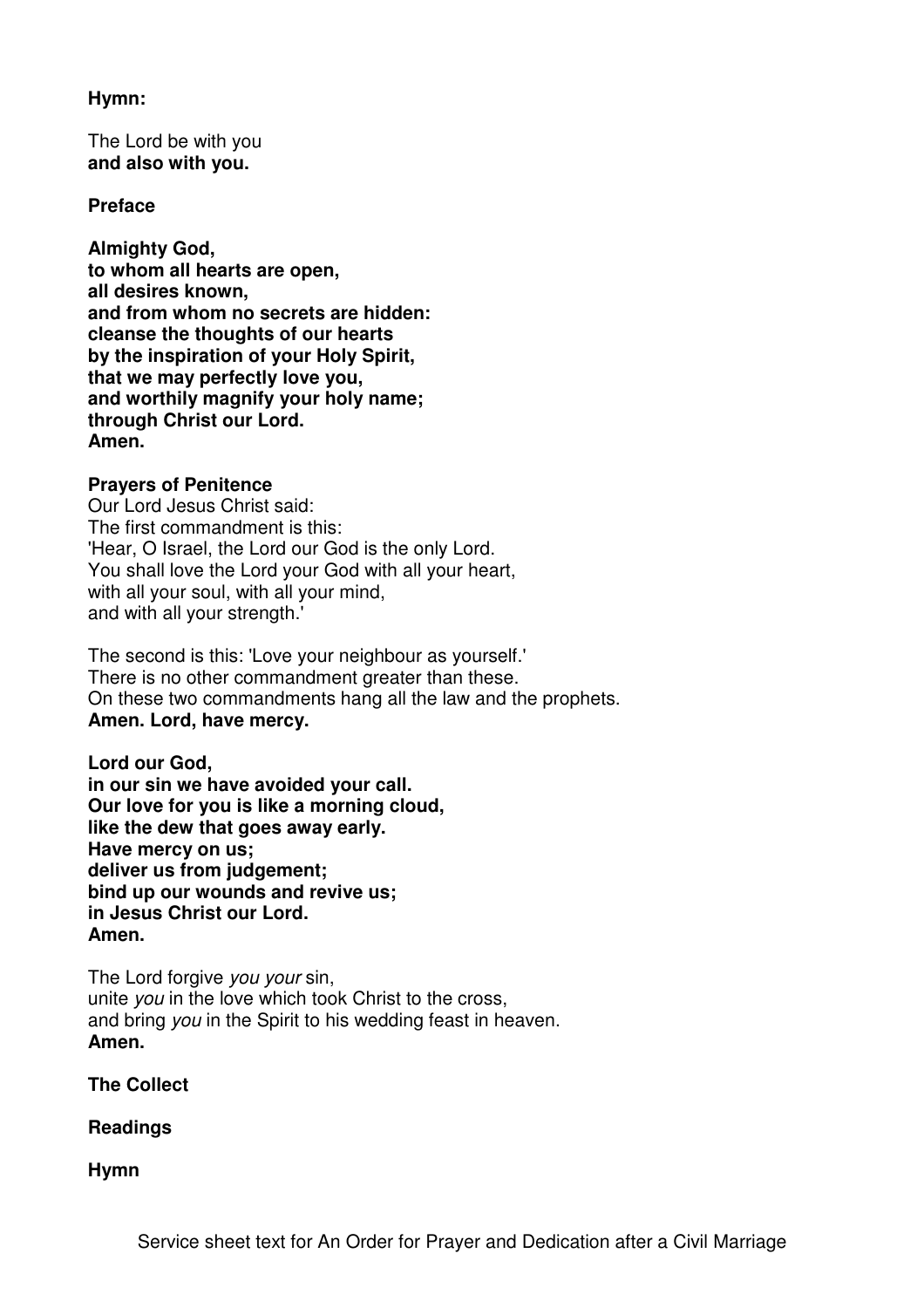### **Hymn:**

The Lord be with you **and also with you.** 

### **Preface**

**Almighty God, to whom all hearts are open, all desires known, and from whom no secrets are hidden: cleanse the thoughts of our hearts by the inspiration of your Holy Spirit, that we may perfectly love you, and worthily magnify your holy name; through Christ our Lord. Amen.** 

## **Prayers of Penitence**

Our Lord Jesus Christ said: The first commandment is this: 'Hear, O Israel, the Lord our God is the only Lord. You shall love the Lord your God with all your heart, with all your soul, with all your mind, and with all your strength.'

The second is this: 'Love your neighbour as yourself.' There is no other commandment greater than these. On these two commandments hang all the law and the prophets. **Amen. Lord, have mercy.**

**Lord our God, in our sin we have avoided your call. Our love for you is like a morning cloud, like the dew that goes away early. Have mercy on us; deliver us from judgement; bind up our wounds and revive us; in Jesus Christ our Lord. Amen.** 

The Lord forgive you your sin, unite you in the love which took Christ to the cross, and bring you in the Spirit to his wedding feast in heaven. **Amen.** 

**The Collect** 

**Readings** 

**Hymn**